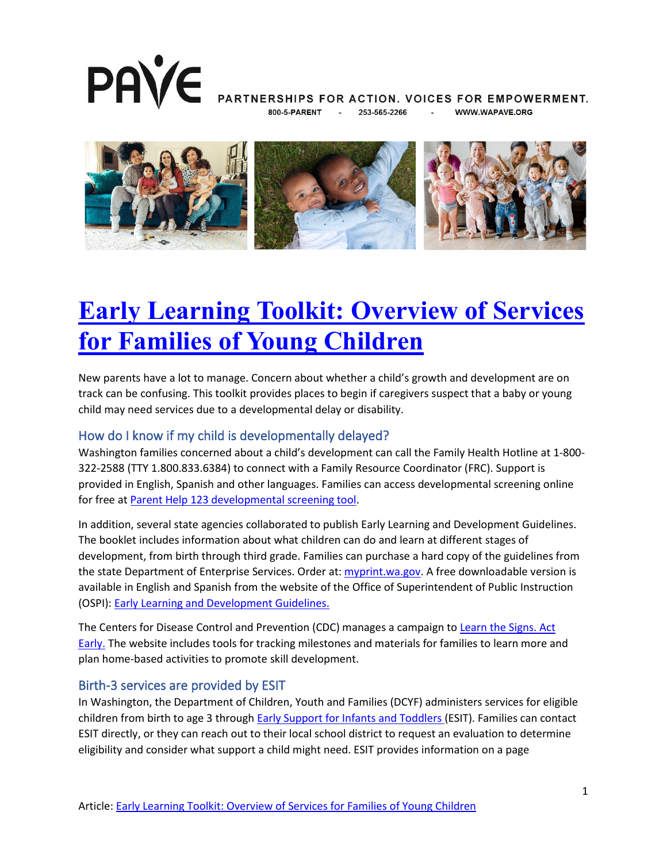

PARTNERSHIPS FOR ACTION. VOICES FOR EMPOWERMENT. 253-565-2266 **WWW.WAPAVE.ORG** 



# **[Early Learning Toolkit: Overview of Services](https://wapave.org/early-learning-toolkit-overview-of-services-for-families-of-young-children/)  [for Families of Young Children](https://wapave.org/early-learning-toolkit-overview-of-services-for-families-of-young-children/)**

New parents have a lot to manage. Concern about whether a child's growth and development are on track can be confusing. This toolkit provides places to begin if caregivers suspect that a baby or young child may need services due to a developmental delay or disability.

#### How do I know if my child is developmentally delayed?

Washington families concerned about a child's development can call the Family Health Hotline at 1-800- 322-2588 (TTY 1.800.833.6384) to connect with a Family Resource Coordinator (FRC). Support is provided in English, Spanish and other languages. Families can access developmental screening online for free at [Parent Help 123 developmental screening tool.](https://www.parenthelp123.org/child-development/child-development-screening-public)

In addition, several state agencies collaborated to publish Early Learning and Development Guidelines. The booklet includes information about what children can do and learn at different stages of development, from birth through third grade. Families can purchase a hard copy of the guidelines from the state Department of Enterprise Services. Order at: [myprint.wa.gov.](https://prtonline.myprintdesk.net/DSF/ProductDetails.aspx?q0dmFiIMRMn5JzKVn+kDV64ts7NaSqGioUtLUhqM498f/13dM58fJCTu44AIpGVQiDXIkQlZDQTVyXwdrATpPQ==) A free downloadable version is available in English and Spanish from the website of the Office of Superintendent of Public Instruction (OSPI): [Early Learning and Development Guidelines.](https://www.k12.wa.us/student-success/support-programs/early-learning-washington-state/early-learning-and-development-guidelines)

The Centers for Disease Control and Prevention (CDC) manages a campaign to Learn the Signs. Act [Early.](https://www.cdc.gov/ncbddd/actearly/index.html) The website includes tools for tracking milestones and materials for families to learn more and plan home-based activities to promote skill development.

#### Birth-3 services are provided by ESIT

In Washington, the Department of Children, Youth and Families (DCYF) administers services for eligible children from birth to age 3 through [Early Support for Infants and Toddlers](https://www.dcyf.wa.gov/services/child-development-supports/esit) (ESIT). Families can contact ESIT directly, or they can reach out to their local school district to request an evaluation to determine eligibility and consider what support a child might need. ESIT provides information on a page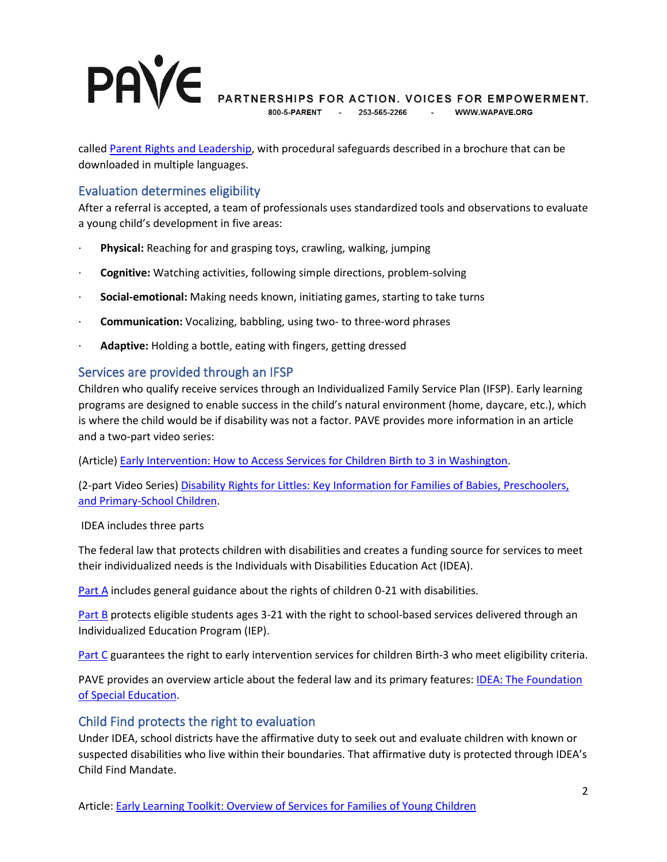# **PAVE**

PARTNERSHIPS FOR ACTION. VOICES FOR EMPOWERMENT.

 $800 - 5 - P \triangle R$ FNT -253-565-2266 **Contractor** WWW.WAPAVE.ORG

called [Parent Rights and Leadership,](https://www.dcyf.wa.gov/services/child-development-supports/esit/parent-rights) with procedural safeguards described in a brochure that can be downloaded in multiple languages.

## Evaluation determines eligibility

After a referral is accepted, a team of professionals uses standardized tools and observations to evaluate a young child's development in five areas:

- · **Physical:** Reaching for and grasping toys, crawling, walking, jumping
- · **Cognitive:** Watching activities, following simple directions, problem-solving
- · **Social-emotional:** Making needs known, initiating games, starting to take turns
- · **Communication:** Vocalizing, babbling, using two- to three-word phrases
- · **Adaptive:** Holding a bottle, eating with fingers, getting dressed

### Services are provided through an IFSP

Children who qualify receive services through an Individualized Family Service Plan (IFSP). Early learning programs are designed to enable success in the child's natural environment (home, daycare, etc.), which is where the child would be if disability was not a factor. PAVE provides more information in an article and a two-part video series:

(Article) [Early Intervention: How to Access Services for Children Birth to 3 in Washington.](https://wapave.org/early-intervention-how-to-access-services-for-children-birth-to-3-in-washington/)

(2-part Video Series) [Disability Rights for Littles: Key Information for Families of Babies, Preschoolers,](https://wapave.org/disability-rights-for-littles-key-information-for-families-of-babies-preschoolers-and-primary-school-children/)  [and Primary-School Children.](https://wapave.org/disability-rights-for-littles-key-information-for-families-of-babies-preschoolers-and-primary-school-children/) 

#### IDEA includes three parts

The federal law that protects children with disabilities and creates a funding source for services to meet their individualized needs is the Individuals with Disabilities Education Act (IDEA).

[Part A](https://uscode.house.gov/view.xhtml?path=/prelim@title20/chapter33/subchapter1&edition=prelim) includes general guidance about the rights of children 0-21 with disabilities.

[Part B](https://uscode.house.gov/view.xhtml?path=/prelim@title20/chapter33/subchapter2&edition=prelim) protects eligible students ages 3-21 with the right to school-based services delivered through an Individualized Education Program (IEP).

[Part C](https://www2.ed.gov/programs/osepeip/index.html) guarantees the right to early intervention services for children Birth-3 who meet eligibility criteria.

PAVE provides an overview article about the federal law and its primary features: [IDEA: The Foundation](https://wapave.org/idea-the-foundation-of-special-education/)  [of Special Education.](https://wapave.org/idea-the-foundation-of-special-education/)

#### Child Find protects the right to evaluation

Under IDEA, school districts have the affirmative duty to seek out and evaluate children with known or suspected disabilities who live within their boundaries. That affirmative duty is protected through IDEA's Child Find Mandate.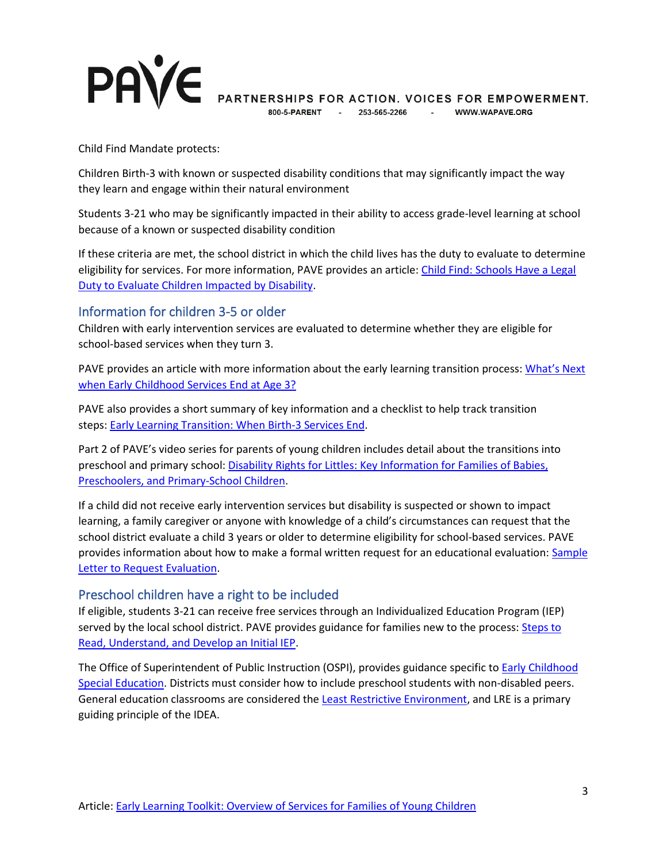

PARTNERSHIPS FOR ACTION. VOICES FOR EMPOWERMENT.

800-5-PARENT 253-565-2266 - WWW.WAPAVE.ORG

Child Find Mandate protects:

Children Birth-3 with known or suspected disability conditions that may significantly impact the way they learn and engage within their natural environment

Students 3-21 who may be significantly impacted in their ability to access grade-level learning at school because of a known or suspected disability condition

If these criteria are met, the school district in which the child lives has the duty to evaluate to determine eligibility for services. For more information, PAVE provides an article: [Child Find: Schools Have a Legal](https://wapave.org/child-find-schools-have-a-legal-duty-to-evaluate-children-impacted-by-disability/)  [Duty to Evaluate Children Impacted by Disability.](https://wapave.org/child-find-schools-have-a-legal-duty-to-evaluate-children-impacted-by-disability/)

#### Information for children 3-5 or older

Children with early intervention services are evaluated to determine whether they are eligible for school-based services when they turn 3.

PAVE provides an article with more information about the early learning transition process: What's Next [when Early Childhood Services End at Age 3?](https://wapave.org/whats-next-when-early-childhood-services-end-at-age-3/)

PAVE also provides a short summary of key information and a checklist to help track transition steps: [Early Learning Transition: When Birth-3 Services End.](https://wapave.org/early-learning-transition-when-birth-3-services-end/)

Part 2 of PAVE's video series for parents of young children includes detail about the transitions into preschool and primary school: [Disability Rights for Littles: Key Information for Families of Babies,](https://wapave.org/disability-rights-for-littles-key-information-for-families-of-babies-preschoolers-and-primary-school-children/)  [Preschoolers, and Primary-School Children.](https://wapave.org/disability-rights-for-littles-key-information-for-families-of-babies-preschoolers-and-primary-school-children/)

If a child did not receive early intervention services but disability is suspected or shown to impact learning, a family caregiver or anyone with knowledge of a child's circumstances can request that the school district evaluate a child 3 years or older to determine eligibility for school-based services. PAVE provides information about how to make a formal written request for an educational evaluation: Sample [Letter to Request Evaluation.](https://wapave.org/sample-letter-to-request-evaluation/)

#### Preschool children have a right to be included

If eligible, students 3-21 can receive free services through an Individualized Education Program (IEP) served by the local school district. PAVE provides guidance for families new to the process: Steps to [Read, Understand, and Develop an Initial IEP.](https://wapave.org/steps-to-read-understand-and-develop-an-initial-iep/)

The Office of Superintendent of Public Instruction (OSPI), provides guidance specific to **Early Childhood** [Special Education.](https://www.k12.wa.us/student-success/special-education/early-childhood-special-education) Districts must consider how to include preschool students with non-disabled peers. General education classrooms are considered the [Least Restrictive Environment,](https://www.k12.wa.us/student-success/special-education/early-childhood-special-education/preschool-least-restrictive-environment-lre-indicator-6) and LRE is a primary guiding principle of the IDEA.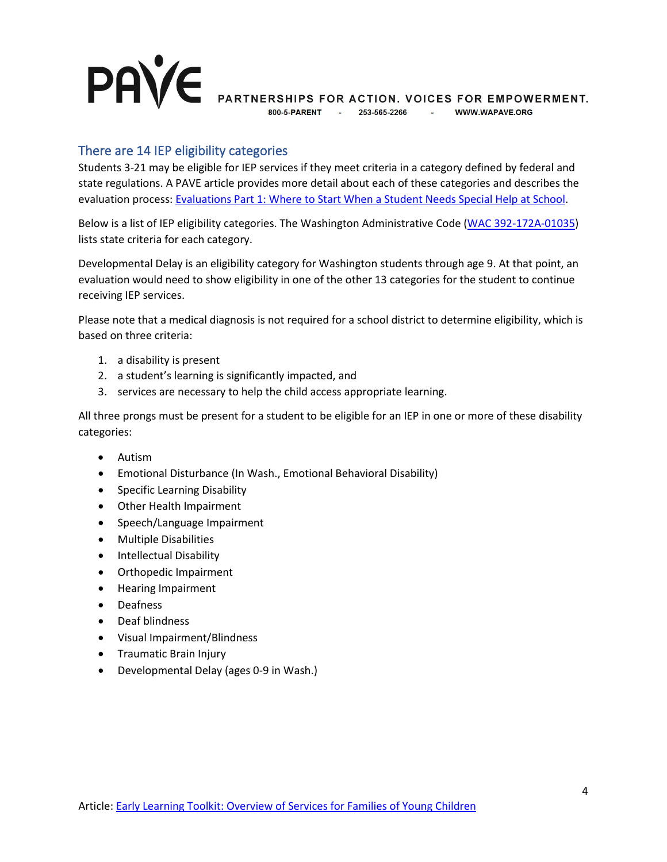#### **PAVE** PARTNERSHIPS FOR ACTION. VOICES FOR EMPOWERMENT. 800-5-PARENT **Contractor** 253-565-2266 - WWW.WAPAVE.ORG

### There are 14 IEP eligibility categories

Students 3-21 may be eligible for IEP services if they meet criteria in a category defined by federal and state regulations. A PAVE article provides more detail about each of these categories and describes the evaluation process: [Evaluations Part 1: Where to Start When a Student Needs Special Help at School.](https://wapave.org/evaluations-part-1-where-to-start-when-a-student-needs-special-help-at-school/)

Below is a list of IEP eligibility categories. The Washington Administrative Code [\(WAC 392-172A-01035\)](https://app.leg.wa.gov/wac/default.aspx?cite=392-172a-01035) lists state criteria for each category.

Developmental Delay is an eligibility category for Washington students through age 9. At that point, an evaluation would need to show eligibility in one of the other 13 categories for the student to continue receiving IEP services.

Please note that a medical diagnosis is not required for a school district to determine eligibility, which is based on three criteria:

- 1. a disability is present
- 2. a student's learning is significantly impacted, and
- 3. services are necessary to help the child access appropriate learning.

All three prongs must be present for a student to be eligible for an IEP in one or more of these disability categories:

- Autism
- Emotional Disturbance (In Wash., Emotional Behavioral Disability)
- Specific Learning Disability
- Other Health Impairment
- Speech/Language Impairment
- Multiple Disabilities
- Intellectual Disability
- Orthopedic Impairment
- Hearing Impairment
- Deafness
- Deaf blindness
- Visual Impairment/Blindness
- Traumatic Brain Injury
- Developmental Delay (ages 0-9 in Wash.)